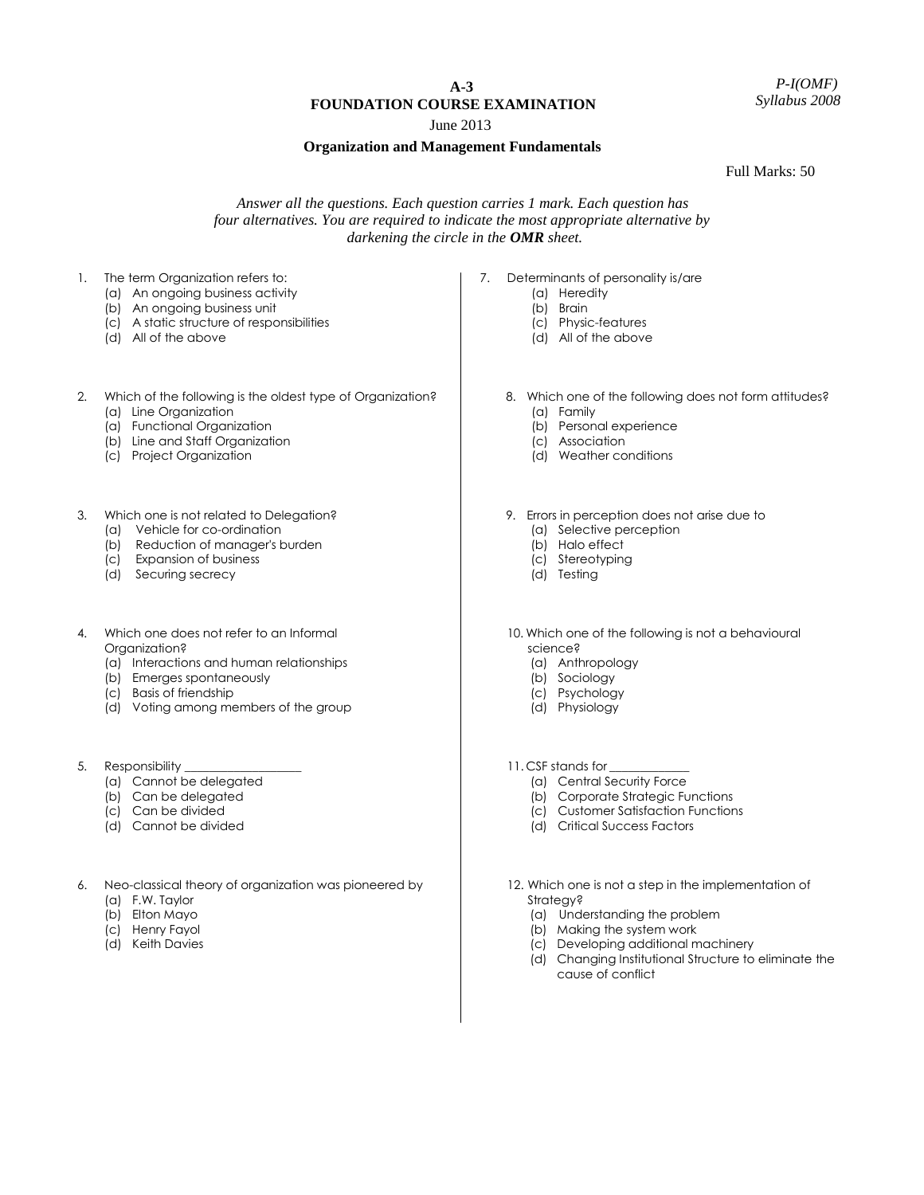# **A-3 FOUNDATION COURSE EXAMINATION**

June 2013

### **Organization and Management Fundamentals**

Full Marks: 50

## *Answer all the questions. Each question carries 1 mark. Each question has four alternatives. You are required to indicate the most appropriate alternative by darkening the circle in the OMR sheet.*

- 1. The term Organization refers to:
	- (a) An ongoing business activity
	- (b) An ongoing business unit
	- (c) A static structure of responsibilities
	- (d) All of the above
- 2. Which of the following is the oldest type of Organization?
	- (a) Line Organization
	- (a) Functional Organization
	- (b) Line and Staff Organization
	- (c) Project Organization
- 3. Which one is not related to Delegation?
	- (a) Vehicle for co-ordination
	- (b) Reduction of manager's burden
	- (c) Expansion of business
	- (d) Securing secrecy
- 4. Which one does not refer to an Informal Organization?
	- (a) Interactions and human relationships
	- (b) Emerges spontaneously
	- (c) Basis of friendship
	- (d) Voting among members of the group
- 5. Responsibility
	- (a) Cannot be delegated
	- (b) Can be delegated
	- (c) Can be divided
	- (d) Cannot be divided
- 6. Neo-classical theory of organization was pioneered by
	- (a) F.W. Taylor
	- (b) Elton Mayo
	- (c) Henry Fayol
	- (d) Keith Davies
- 7. Determinants of personality is/are
	- (a) Heredity
	- (b) Brain
	- (c) Physic-features
	- (d) All of the above
	- 8. Which one of the following does not form attitudes?
		- (a) Family
		- (b) Personal experience
		- (c) Association
		- (d) Weather conditions
	- 9. Errors in perception does not arise due to
		- (a) Selective perception
		- (b) Halo effect
		- (c) Stereotyping
		- (d) Testing
	- 10. Which one of the following is not a behavioural science?
		- (a) Anthropology
		- (b) Sociology
		- (c) Psychology
		- (d) Physiology
	- 11. CSF stands for
		- (a) Central Security Force
		- (b) Corporate Strategic Functions
		- (c) Customer Satisfaction Functions
		- (d) Critical Success Factors
	- 12. Which one is not a step in the implementation of Strategy?
		- (a) Understanding the problem
		- (b) Making the system work
		- (c) Developing additional machinery
		- (d) Changing Institutional Structure to eliminate the cause of conflict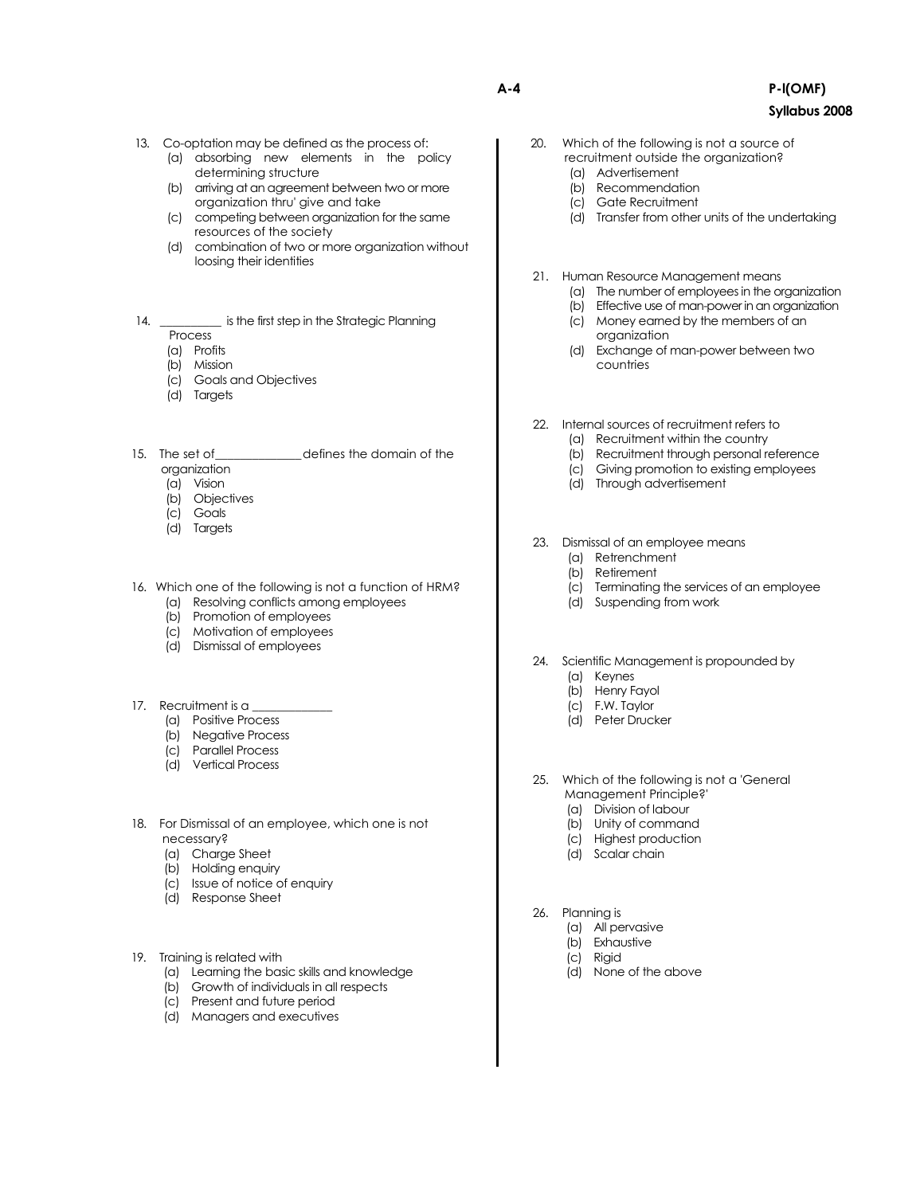- 13. Co-optation may be defined as the process of:
	- (a) absorbing new elements in the policy determining structure
	- (b) arriving at an agreement between two or more organization thru' give and take
	- (c) competing between organization for the same resources of the society
	- (d) combination of two or more organization without loosing their identities
- 14. \_\_\_\_\_\_\_\_\_\_\_\_ is the first step in the Strategic Planning
	- Process
	- (a) Profits
	- (b) Mission
	- (c) Goals and Objectives
	- (d) Targets
- 15. The set of defines the domain of the organization
	- (a) Vision
	- (b) Objectives
	- (c) Goals
	- (d) Targets
- 16. Which one of the following is not a function of HRM?
	- (a) Resolving conflicts among employees
	- (b) Promotion of employees
	- (c) Motivation of employees
	- (d) Dismissal of employees
- 17. Recruitment is a
	- (a) Positive Process
	- (b) Negative Process
	- (c) Parallel Process
	- (d) Vertical Process
- 18. For Dismissal of an employee, which one is not necessary?
	- (a) Charge Sheet
	- (b) Holding enquiry
	- (c) Issue of notice of enquiry
	- (d) Response Sheet
- 19. Training is related with
	- (a) Learning the basic skills and knowledge
	- (b) Growth of individuals in all respects
	- (c) Present and future period
	- (d) Managers and executives
- 20. Which of the following is not a source of recruitment outside the organization? (a) Advertisement
	- (b) Recommendation
	- (c) Gate Recruitment
	- (d) Transfer from other units of the undertaking
	- 21. Human Resource Management means
		- (a) The number of employees in the organization
			- (b) Effective use of man-power in an organization
		- (c) Money earned by the members of an organization
		- (d) Exchange of man-power between two countries
	- 22. Internal sources of recruitment refers to
		- (a) Recruitment within the country
		- (b) Recruitment through personal reference
		- (c) Giving promotion to existing employees
		- (d) Through advertisement
	- 23. Dismissal of an employee means
		- (a) Retrenchment
		- (b) Retirement
		- (c) Terminating the services of an employee
		- (d) Suspending from work
	- 24. Scientific Management is propounded by
		- (a) Keynes
		- (b) Henry Fayol
		- (c) F.W. Taylor
		- (d) Peter Drucker
	- 25. Which of the following is not a 'General Management Principle?'
		- (a) Division of labour
		- (b) Unity of command
		- (c) Highest production
		- (d) Scalar chain
- 26. Planning is
	- (a) All pervasive
	- (b) Exhaustive
	- (c) Rigid
	- (d) None of the above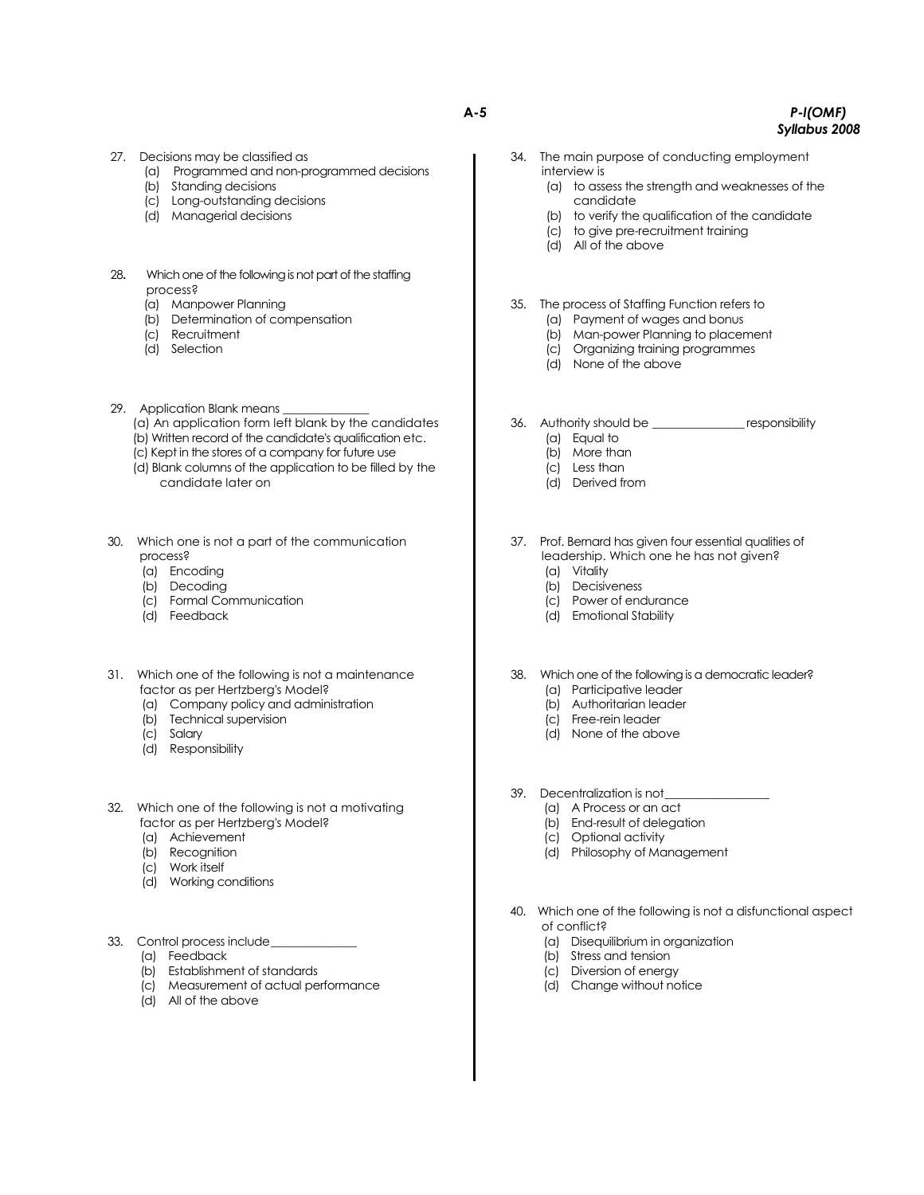- 27. Decisions may be classified as
	- (a) Programmed and non-programmed decisions
	- (b) Standing decisions
		- (c) Long-outstanding decisions
		- (d) Managerial decisions
- 28**.** Which one of the following is not part of the staffing process?
	- (a) Manpower Planning
	- (b) Determination of compensation
	- (c) Recruitment
	- (d) Selection
- 29. Application Blank means
	- (a) An application form left blank by the candidates
	- (b) Written record of the candidate's qualification etc.
	- (c) Kept in the stores of a company for future use
	- (d) Blank columns of the application to be filled by the candidate later on
- 30. Which one is not a part of the communication process?
	- (a) Encoding
	- (b) Decoding
	- (c) Formal Communication
	- (d) Feedback
- 31. Which one of the following is not a maintenance factor as per Hertzberg's Model?
	- (a) Company policy and administration
	- (b) Technical supervision
	- (c) Salary
	- (d) Responsibility
- 32. Which one of the following is not a motivating factor as per Hertzberg's Model?
	- (a) Achievement
	- (b) Recognition
	- (c) Work itself
	- (d) Working conditions
- 33. Control process include\_
	- (a) Feedback
	- (b) Establishment of standards
	- (c) Measurement of actual performance
	- (d) All of the above
- **A-5** *P-l(OMF) Syllabus 2008*
	- 34. The main purpose of conducting employment interview is
		- (a) to assess the strength and weaknesses of the candidate
		- (b) to verify the qualification of the candidate
		- (c) to give pre-recruitment training
		- (d) All of the above
	- 35. The process of Staffing Function refers to
		- (a) Payment of wages and bonus
		- (b) Man-power Planning to placement
		- (c) Organizing training programmes
		- (d) None of the above
	- 36. Authority should be \_\_\_\_\_\_\_\_\_\_\_\_\_\_\_ responsibility (a) Equal to
		- (b) More than
		- (c) Less than
		- (d) Derived from
		-
	- 37. Prof. Bernard has given four essential qualities of leadership. Which one he has not given?
		- (a) Vitality
		- (b) Decisiveness
		- (c) Power of endurance
		- (d) Emotional Stability
	- 38. Which one of the following is a democratic leader? (a) Participative leader
		- (b) Authoritarian leader
		- (c) Free-rein leader
		- (d) None of the above
	- 39. Decentralization is not
		- (a) A Process or an act
			- (b) End-result of delegation
		- (c) Optional activity
		- (d) Philosophy of Management
	- 40. Which one of the following is not a disfunctional aspect of conflict?
		- (a) Disequilibrium in organization
		- (b) Stress and tension
		- (c) Diversion of energy
		- (d) Change without notice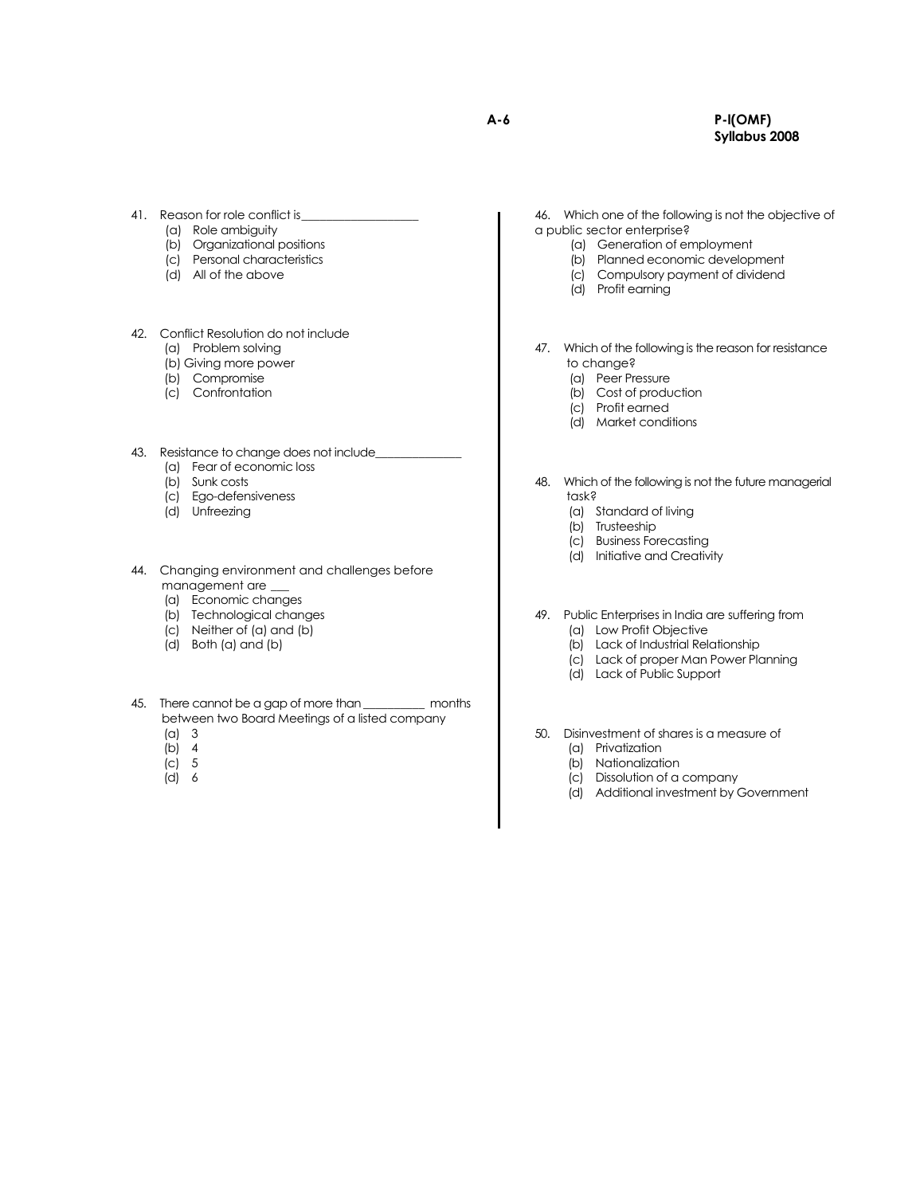#### **A-6 P-l(OMF) Syllabus 2008**

- 41. Reason for role conflict is
	- (a) Role ambiguity
	- (b) Organizational positions
	- (c) Personal characteristics
	- (d) All of the above
- 42. Conflict Resolution do not include
	- (a) Problem solving
	- (b) Giving more power
	- (b) Compromise
	- (c) Confrontation
- 43. Resistance to change does not include
	- (a) Fear of economic loss
	- (b) Sunk costs
	- (c) Ego-defensiveness
	- (d) Unfreezing
- 44. Changing environment and challenges before management are \_\_\_
	- (a) Economic changes
	- (b) Technological changes
	- (c) Neither of (a) and (b)
	- (d) Both (a) and (b)
- 45. There cannot be a gap of more than\_\_\_\_\_\_\_\_\_\_ months between two Board Meetings of a listed company
	- (a) 3
	- $(b)$  4
	- $|c|$  5 (d) 6
	-

46. Which one of the following is not the objective of a public sector enterprise?

- (a) Generation of employment
- (b) Planned economic development
- (c) Compulsory payment of dividend
- (d) Profit earning

47. Which of the following is the reason for resistance to change?

- (a) Peer Pressure
- (b) Cost of production
- (c) Profit earned
- (d) Market conditions
- 48. Which of the following is not the future managerial task?
	- (a) Standard of living
	- (b) Trusteeship
	- (c) Business Forecasting
	- (d) Initiative and Creativity
- 49. Public Enterprises in India are suffering from
	- (a) Low Profit Objective
	- (b) Lack of Industrial Relationship
	- (c) Lack of proper Man Power Planning
	- (d) Lack of Public Support
- 50. Disinvestment of shares is a measure of
	- (a) Privatization
	- (b) Nationalization
	- (c) Dissolution of a company
	- (d) Additional investment by Government